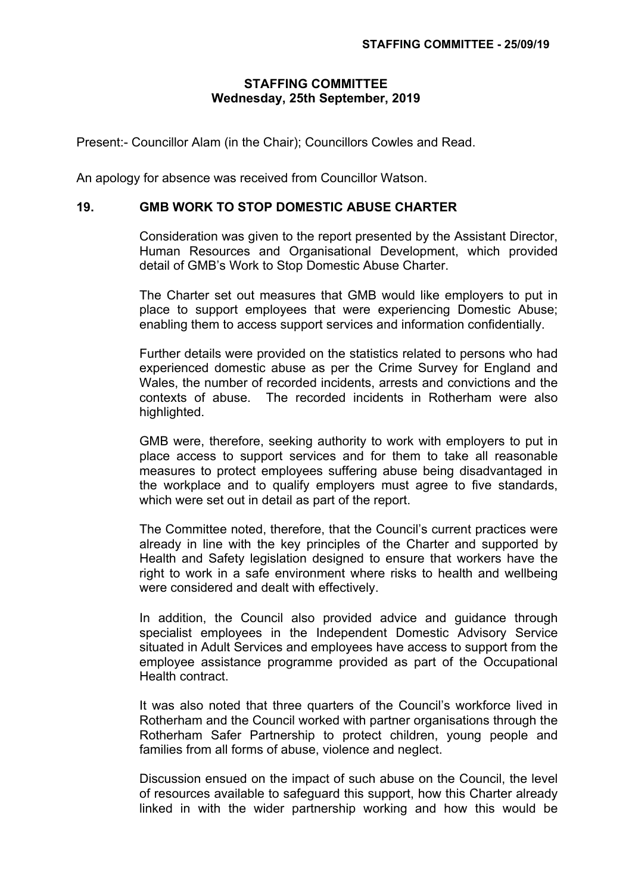## **STAFFING COMMITTEE Wednesday, 25th September, 2019**

Present:- Councillor Alam (in the Chair); Councillors Cowles and Read.

An apology for absence was received from Councillor Watson.

## **19. GMB WORK TO STOP DOMESTIC ABUSE CHARTER**

Consideration was given to the report presented by the Assistant Director, Human Resources and Organisational Development, which provided detail of GMB's Work to Stop Domestic Abuse Charter.

The Charter set out measures that GMB would like employers to put in place to support employees that were experiencing Domestic Abuse; enabling them to access support services and information confidentially.

Further details were provided on the statistics related to persons who had experienced domestic abuse as per the Crime Survey for England and Wales, the number of recorded incidents, arrests and convictions and the contexts of abuse. The recorded incidents in Rotherham were also highlighted.

GMB were, therefore, seeking authority to work with employers to put in place access to support services and for them to take all reasonable measures to protect employees suffering abuse being disadvantaged in the workplace and to qualify employers must agree to five standards, which were set out in detail as part of the report.

The Committee noted, therefore, that the Council's current practices were already in line with the key principles of the Charter and supported by Health and Safety legislation designed to ensure that workers have the right to work in a safe environment where risks to health and wellbeing were considered and dealt with effectively.

In addition, the Council also provided advice and guidance through specialist employees in the Independent Domestic Advisory Service situated in Adult Services and employees have access to support from the employee assistance programme provided as part of the Occupational Health contract.

It was also noted that three quarters of the Council's workforce lived in Rotherham and the Council worked with partner organisations through the Rotherham Safer Partnership to protect children, young people and families from all forms of abuse, violence and neglect.

Discussion ensued on the impact of such abuse on the Council, the level of resources available to safeguard this support, how this Charter already linked in with the wider partnership working and how this would be